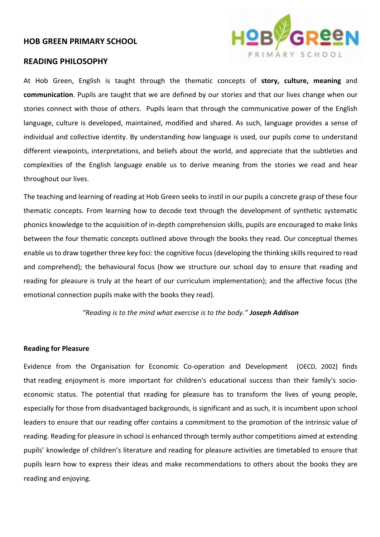## **HOB GREEN PRIMARY SCHOOL**

### **READING PHILOSOPHY**



At Hob Green, English is taught through the thematic concepts of **story, culture, meaning** and **communication**. Pupils are taught that we are defined by our stories and that our lives change when our stories connect with those of others. Pupils learn that through the communicative power of the English language, culture is developed, maintained, modified and shared. As such, language provides a sense of individual and collective identity. By understanding *how* language is used, our pupils come to understand different viewpoints, interpretations, and beliefs about the world, and appreciate that the subtleties and complexities of the English language enable us to derive meaning from the stories we read and hear throughout our lives.

The teaching and learning of reading at Hob Green seeks to instil in our pupils a concrete grasp of these four thematic concepts. From learning how to decode text through the development of synthetic systematic phonics knowledge to the acquisition of in-depth comprehension skills, pupils are encouraged to make links between the four thematic concepts outlined above through the books they read. Our conceptual themes enable us to draw together three key foci: the cognitive focus (developing the thinking skills required to read and comprehend); the behavioural focus (how we structure our school day to ensure that reading and reading for pleasure is truly at the heart of our curriculum implementation); and the affective focus (the emotional connection pupils make with the books they read).

*"Reading is to the mind what exercise is to the body." Joseph Addison*

## **Reading for Pleasure**

Evidence from the Organisation for Economic Co-operation and Development (OECD, 2002) finds that reading enjoyment is more important for children's educational success than their family's socioeconomic status. The potential that reading for pleasure has to transform the lives of young people, especially for those from disadvantaged backgrounds, is significant and as such, it is incumbent upon school leaders to ensure that our reading offer contains a commitment to the promotion of the intrinsic value of reading. Reading for pleasure in school is enhanced through termly author competitions aimed at extending pupils' knowledge of children's literature and reading for pleasure activities are timetabled to ensure that pupils learn how to express their ideas and make recommendations to others about the books they are reading and enjoying.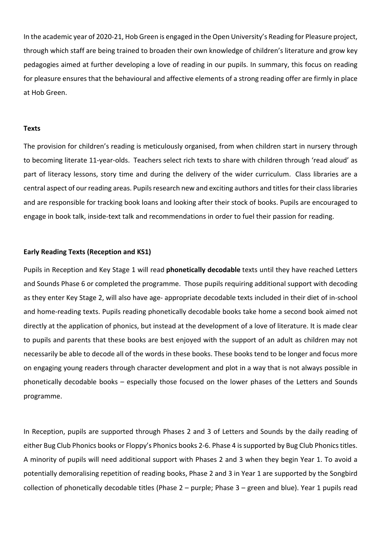In the academic year of 2020-21, Hob Green is engaged in the Open University's Reading for Pleasure project, through which staff are being trained to broaden their own knowledge of children's literature and grow key pedagogies aimed at further developing a love of reading in our pupils. In summary, this focus on reading for pleasure ensures that the behavioural and affective elements of a strong reading offer are firmly in place at Hob Green.

#### **Texts**

The provision for children's reading is meticulously organised, from when children start in nursery through to becoming literate 11-year-olds. Teachers select rich texts to share with children through 'read aloud' as part of literacy lessons, story time and during the delivery of the wider curriculum. Class libraries are a central aspect of our reading areas. Pupils research new and exciting authors and titles for their class libraries and are responsible for tracking book loans and looking after their stock of books. Pupils are encouraged to engage in book talk, inside-text talk and recommendations in order to fuel their passion for reading.

## **Early Reading Texts (Reception and KS1)**

Pupils in Reception and Key Stage 1 will read **phonetically decodable** texts until they have reached Letters and Sounds Phase 6 or completed the programme. Those pupils requiring additional support with decoding as they enter Key Stage 2, will also have age- appropriate decodable texts included in their diet of in-school and home-reading texts. Pupils reading phonetically decodable books take home a second book aimed not directly at the application of phonics, but instead at the development of a love of literature. It is made clear to pupils and parents that these books are best enjoyed with the support of an adult as children may not necessarily be able to decode all of the words in these books. These books tend to be longer and focus more on engaging young readers through character development and plot in a way that is not always possible in phonetically decodable books – especially those focused on the lower phases of the Letters and Sounds programme.

In Reception, pupils are supported through Phases 2 and 3 of Letters and Sounds by the daily reading of either Bug Club Phonics books or Floppy's Phonics books 2-6. Phase 4 is supported by Bug Club Phonics titles. A minority of pupils will need additional support with Phases 2 and 3 when they begin Year 1. To avoid a potentially demoralising repetition of reading books, Phase 2 and 3 in Year 1 are supported by the Songbird collection of phonetically decodable titles (Phase 2 – purple; Phase 3 – green and blue). Year 1 pupils read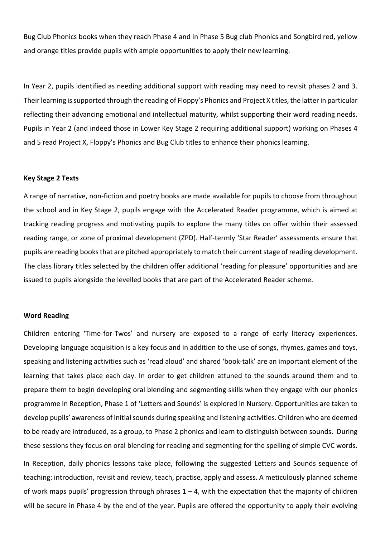Bug Club Phonics books when they reach Phase 4 and in Phase 5 Bug club Phonics and Songbird red, yellow and orange titles provide pupils with ample opportunities to apply their new learning.

In Year 2, pupils identified as needing additional support with reading may need to revisit phases 2 and 3. Their learning is supported through the reading of Floppy's Phonics and Project X titles, the latter in particular reflecting their advancing emotional and intellectual maturity, whilst supporting their word reading needs. Pupils in Year 2 (and indeed those in Lower Key Stage 2 requiring additional support) working on Phases 4 and 5 read Project X, Floppy's Phonics and Bug Club titles to enhance their phonics learning.

## **Key Stage 2 Texts**

A range of narrative, non-fiction and poetry books are made available for pupils to choose from throughout the school and in Key Stage 2, pupils engage with the Accelerated Reader programme, which is aimed at tracking reading progress and motivating pupils to explore the many titles on offer within their assessed reading range, or zone of proximal development (ZPD). Half-termly 'Star Reader' assessments ensure that pupils are reading books that are pitched appropriately to match their current stage of reading development. The class library titles selected by the children offer additional 'reading for pleasure' opportunities and are issued to pupils alongside the levelled books that are part of the Accelerated Reader scheme.

#### **Word Reading**

Children entering 'Time-for-Twos' and nursery are exposed to a range of early literacy experiences. Developing language acquisition is a key focus and in addition to the use of songs, rhymes, games and toys, speaking and listening activities such as 'read aloud' and shared 'book-talk' are an important element of the learning that takes place each day. In order to get children attuned to the sounds around them and to prepare them to begin developing oral blending and segmenting skills when they engage with our phonics programme in Reception, Phase 1 of 'Letters and Sounds' is explored in Nursery. Opportunities are taken to develop pupils' awareness of initial sounds during speaking and listening activities. Children who are deemed to be ready are introduced, as a group, to Phase 2 phonics and learn to distinguish between sounds. During these sessions they focus on oral blending for reading and segmenting for the spelling of simple CVC words.

In Reception, daily phonics lessons take place, following the suggested Letters and Sounds sequence of teaching: introduction, revisit and review, teach, practise, apply and assess. A meticulously planned scheme of work maps pupils' progression through phrases  $1 - 4$ , with the expectation that the majority of children will be secure in Phase 4 by the end of the year. Pupils are offered the opportunity to apply their evolving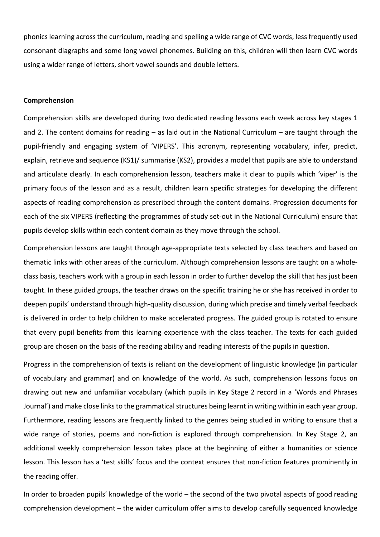phonics learning across the curriculum, reading and spelling a wide range of CVC words, less frequently used consonant diagraphs and some long vowel phonemes. Building on this, children will then learn CVC words using a wider range of letters, short vowel sounds and double letters.

#### **Comprehension**

Comprehension skills are developed during two dedicated reading lessons each week across key stages 1 and 2. The content domains for reading – as laid out in the National Curriculum – are taught through the pupil-friendly and engaging system of 'VIPERS'. This acronym, representing vocabulary, infer, predict, explain, retrieve and sequence (KS1)/ summarise (KS2), provides a model that pupils are able to understand and articulate clearly. In each comprehension lesson, teachers make it clear to pupils which 'viper' is the primary focus of the lesson and as a result, children learn specific strategies for developing the different aspects of reading comprehension as prescribed through the content domains. Progression documents for each of the six VIPERS (reflecting the programmes of study set-out in the National Curriculum) ensure that pupils develop skills within each content domain as they move through the school.

Comprehension lessons are taught through age-appropriate texts selected by class teachers and based on thematic links with other areas of the curriculum. Although comprehension lessons are taught on a wholeclass basis, teachers work with a group in each lesson in order to further develop the skill that has just been taught. In these guided groups, the teacher draws on the specific training he or she has received in order to deepen pupils' understand through high-quality discussion, during which precise and timely verbal feedback is delivered in order to help children to make accelerated progress. The guided group is rotated to ensure that every pupil benefits from this learning experience with the class teacher. The texts for each guided group are chosen on the basis of the reading ability and reading interests of the pupils in question.

Progress in the comprehension of texts is reliant on the development of linguistic knowledge (in particular of vocabulary and grammar) and on knowledge of the world. As such, comprehension lessons focus on drawing out new and unfamiliar vocabulary (which pupils in Key Stage 2 record in a 'Words and Phrases Journal') and make close links to the grammatical structures being learnt in writing within in each year group. Furthermore, reading lessons are frequently linked to the genres being studied in writing to ensure that a wide range of stories, poems and non-fiction is explored through comprehension. In Key Stage 2, an additional weekly comprehension lesson takes place at the beginning of either a humanities or science lesson. This lesson has a 'test skills' focus and the context ensures that non-fiction features prominently in the reading offer.

In order to broaden pupils' knowledge of the world – the second of the two pivotal aspects of good reading comprehension development – the wider curriculum offer aims to develop carefully sequenced knowledge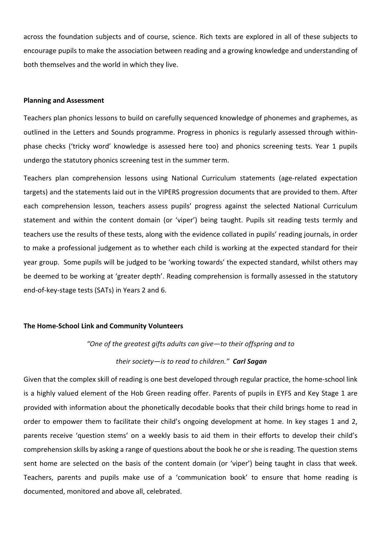across the foundation subjects and of course, science. Rich texts are explored in all of these subjects to encourage pupils to make the association between reading and a growing knowledge and understanding of both themselves and the world in which they live.

## **Planning and Assessment**

Teachers plan phonics lessons to build on carefully sequenced knowledge of phonemes and graphemes, as outlined in the Letters and Sounds programme. Progress in phonics is regularly assessed through withinphase checks ('tricky word' knowledge is assessed here too) and phonics screening tests. Year 1 pupils undergo the statutory phonics screening test in the summer term.

Teachers plan comprehension lessons using National Curriculum statements (age-related expectation targets) and the statements laid out in the VIPERS progression documents that are provided to them. After each comprehension lesson, teachers assess pupils' progress against the selected National Curriculum statement and within the content domain (or 'viper') being taught. Pupils sit reading tests termly and teachers use the results of these tests, along with the evidence collated in pupils' reading journals, in order to make a professional judgement as to whether each child is working at the expected standard for their year group. Some pupils will be judged to be 'working towards' the expected standard, whilst others may be deemed to be working at 'greater depth'. Reading comprehension is formally assessed in the statutory end-of-key-stage tests (SATs) in Years 2 and 6.

# **The Home-School Link and Community Volunteers**

# *"One of the greatest gifts adults can give—to their offspring and to*

# *their society—is to read to children." Carl Sagan*

Given that the complex skill of reading is one best developed through regular practice, the home-school link is a highly valued element of the Hob Green reading offer. Parents of pupils in EYFS and Key Stage 1 are provided with information about the phonetically decodable books that their child brings home to read in order to empower them to facilitate their child's ongoing development at home. In key stages 1 and 2, parents receive 'question stems' on a weekly basis to aid them in their efforts to develop their child's comprehension skills by asking a range of questions about the book he or she is reading. The question stems sent home are selected on the basis of the content domain (or 'viper') being taught in class that week. Teachers, parents and pupils make use of a 'communication book' to ensure that home reading is documented, monitored and above all, celebrated.